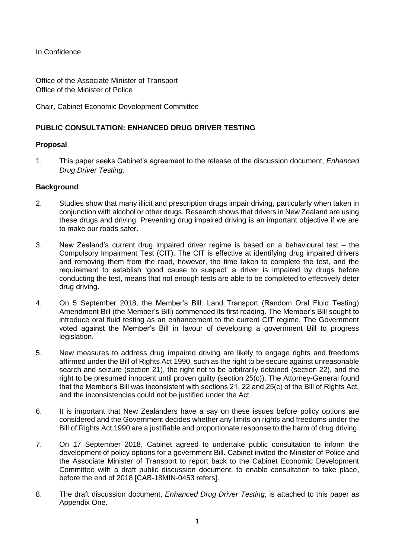In Confidence

Office of the Associate Minister of Transport Office of the Minister of Police

Chair, Cabinet Economic Development Committee

# **PUBLIC CONSULTATION: ENHANCED DRUG DRIVER TESTING**

# **Proposal**

1. This paper seeks Cabinet's agreement to the release of the discussion document, *Enhanced Drug Driver Testing*.

### **Background**

- 2. Studies show that many illicit and prescription drugs impair driving, particularly when taken in conjunction with alcohol or other drugs. Research shows that drivers in New Zealand are using these drugs and driving. Preventing drug impaired driving is an important objective if we are to make our roads safer.
- 3. New Zealand's current drug impaired driver regime is based on a behavioural test the Compulsory Impairment Test (CIT). The CIT is effective at identifying drug impaired drivers and removing them from the road, however, the time taken to complete the test, and the requirement to establish 'good cause to suspect' a driver is impaired by drugs before conducting the test, means that not enough tests are able to be completed to effectively deter drug driving.
- 4. On 5 September 2018, the Member's Bill: Land Transport (Random Oral Fluid Testing) Amendment Bill (the Member's Bill) commenced its first reading. The Member's Bill sought to introduce oral fluid testing as an enhancement to the current CIT regime. The Government voted against the Member's Bill in favour of developing a government Bill to progress legislation.
- 5. New measures to address drug impaired driving are likely to engage rights and freedoms affirmed under the Bill of Rights Act 1990, such as the right to be secure against unreasonable search and seizure (section 21), the right not to be arbitrarily detained (section 22), and the right to be presumed innocent until proven guilty (section 25(c)). The Attorney-General found that the Member's Bill was inconsistent with sections 21, 22 and 25(c) of the Bill of Rights Act, and the inconsistencies could not be justified under the Act.
- 6. It is important that New Zealanders have a say on these issues before policy options are considered and the Government decides whether any limits on rights and freedoms under the Bill of Rights Act 1990 are a justifiable and proportionate response to the harm of drug driving.
- 7. On 17 September 2018, Cabinet agreed to undertake public consultation to inform the development of policy options for a government Bill. Cabinet invited the Minister of Police and the Associate Minister of Transport to report back to the Cabinet Economic Development Committee with a draft public discussion document, to enable consultation to take place, before the end of 2018 [CAB-18MIN-0453 refers].
- 8. The draft discussion document, *Enhanced Drug Driver Testing*, is attached to this paper as Appendix One.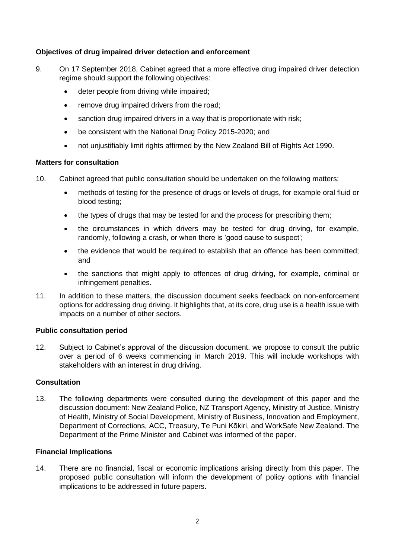# **Objectives of drug impaired driver detection and enforcement**

- 9. On 17 September 2018, Cabinet agreed that a more effective drug impaired driver detection regime should support the following objectives:
	- deter people from driving while impaired;
	- remove drug impaired drivers from the road;
	- sanction drug impaired drivers in a way that is proportionate with risk;
	- be consistent with the National Drug Policy 2015-2020; and
	- not unjustifiably limit rights affirmed by the New Zealand Bill of Rights Act 1990.

### **Matters for consultation**

- 10. Cabinet agreed that public consultation should be undertaken on the following matters:
	- methods of testing for the presence of drugs or levels of drugs, for example oral fluid or blood testing;
	- the types of drugs that may be tested for and the process for prescribing them;
	- the circumstances in which drivers may be tested for drug driving, for example, randomly, following a crash, or when there is 'good cause to suspect';
	- the evidence that would be required to establish that an offence has been committed; and
	- the sanctions that might apply to offences of drug driving, for example, criminal or infringement penalties.
- 11. In addition to these matters, the discussion document seeks feedback on non-enforcement options for addressing drug driving. It highlights that, at its core, drug use is a health issue with impacts on a number of other sectors.

### **Public consultation period**

12. Subject to Cabinet's approval of the discussion document, we propose to consult the public over a period of 6 weeks commencing in March 2019. This will include workshops with stakeholders with an interest in drug driving.

# **Consultation**

13. The following departments were consulted during the development of this paper and the discussion document: New Zealand Police, NZ Transport Agency, Ministry of Justice, Ministry of Health, Ministry of Social Development, Ministry of Business, Innovation and Employment, Department of Corrections, ACC, Treasury, Te Puni Kōkiri, and WorkSafe New Zealand. The Department of the Prime Minister and Cabinet was informed of the paper.

### **Financial Implications**

14. There are no financial, fiscal or economic implications arising directly from this paper. The proposed public consultation will inform the development of policy options with financial implications to be addressed in future papers.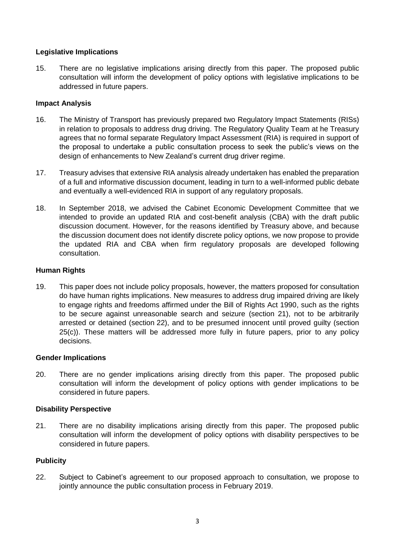# **Legislative Implications**

15. There are no legislative implications arising directly from this paper. The proposed public consultation will inform the development of policy options with legislative implications to be addressed in future papers.

# **Impact Analysis**

- 16. The Ministry of Transport has previously prepared two Regulatory Impact Statements (RISs) in relation to proposals to address drug driving. The Regulatory Quality Team at he Treasury agrees that no formal separate Regulatory Impact Assessment (RIA) is required in support of the proposal to undertake a public consultation process to seek the public's views on the design of enhancements to New Zealand's current drug driver regime.
- 17. Treasury advises that extensive RIA analysis already undertaken has enabled the preparation of a full and informative discussion document, leading in turn to a well-informed public debate and eventually a well-evidenced RIA in support of any regulatory proposals.
- 18. In September 2018, we advised the Cabinet Economic Development Committee that we intended to provide an updated RIA and cost-benefit analysis (CBA) with the draft public discussion document. However, for the reasons identified by Treasury above, and because the discussion document does not identify discrete policy options, we now propose to provide the updated RIA and CBA when firm regulatory proposals are developed following consultation.

# **Human Rights**

19. This paper does not include policy proposals, however, the matters proposed for consultation do have human rights implications. New measures to address drug impaired driving are likely to engage rights and freedoms affirmed under the Bill of Rights Act 1990, such as the rights to be secure against unreasonable search and seizure (section 21), not to be arbitrarily arrested or detained (section 22), and to be presumed innocent until proved guilty (section 25(c)). These matters will be addressed more fully in future papers, prior to any policy decisions.

### **Gender Implications**

20. There are no gender implications arising directly from this paper. The proposed public consultation will inform the development of policy options with gender implications to be considered in future papers.

# **Disability Perspective**

21. There are no disability implications arising directly from this paper. The proposed public consultation will inform the development of policy options with disability perspectives to be considered in future papers.

# **Publicity**

22. Subject to Cabinet's agreement to our proposed approach to consultation, we propose to jointly announce the public consultation process in February 2019.